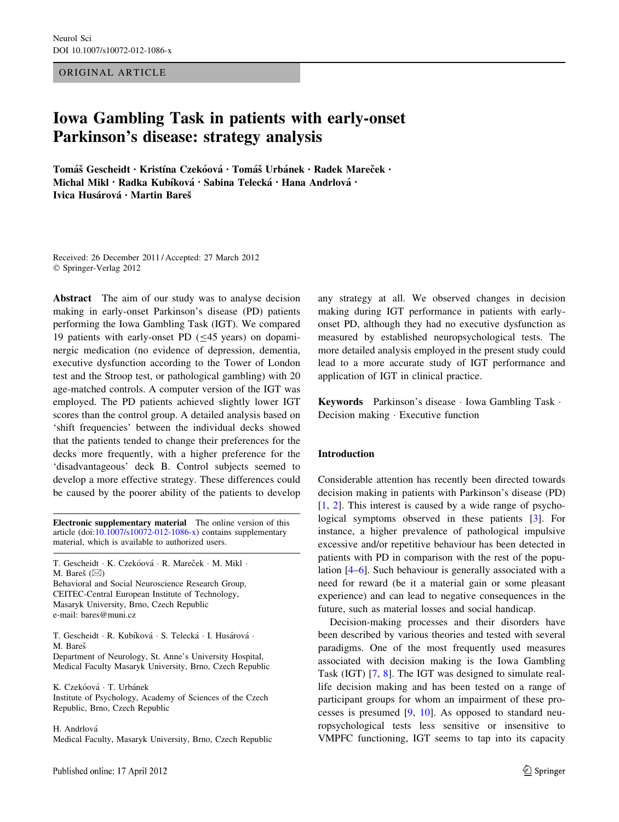ORIGINAL ARTICLE

# Iowa Gambling Task in patients with early-onset Parkinson's disease: strategy analysis

Tomáš Gescheidt • Kristína Czekóová • Tomáš Urbánek • Radek Mareček • Michal Mikl • Radka Kubíková • Sabina Telecká • Hana Andrlová • Ivica Husárová • Martin Bareš

Received: 26 December 2011 / Accepted: 27 March 2012 © Springer-Verlag 2012

Abstract The aim of our study was to analyse decision making in early-onset Parkinson's disease (PD) patients performing the Iowa Gambling Task (IGT). We compared 19 patients with early-onset PD  $(\leq 45$  years) on dopaminergic medication (no evidence of depression, dementia, executive dysfunction according to the Tower of London test and the Stroop test, or pathological gambling) with 20 age-matched controls. A computer version of the IGT was employed. The PD patients achieved slightly lower IGT scores than the control group. A detailed analysis based on 'shift frequencies' between the individual decks showed that the patients tended to change their preferences for the decks more frequently, with a higher preference for the 'disadvantageous' deck B. Control subjects seemed to develop a more effective strategy. These differences could be caused by the poorer ability of the patients to develop

Electronic supplementary material The online version of this article (doi:[10.1007/s10072-012-1086-x\)](http://dx.doi.org/10.1007/s10072-012-1086-x) contains supplementary material, which is available to authorized users.

T. Gescheidt · K. Czekóová · R. Mareček · M. Mikl · M. Bareš $(\boxtimes)$ 

Behavioral and Social Neuroscience Research Group, CEITEC-Central European Institute of Technology, Masaryk University, Brno, Czech Republic e-mail: bares@muni.cz

T. Gescheidt · R. Kubíková · S. Telecká · I. Husárová · M. Bareš

Department of Neurology, St. Anne's University Hospital, Medical Faculty Masaryk University, Brno, Czech Republic

K. Czekóová · T. Urbánek

Institute of Psychology, Academy of Sciences of the Czech Republic, Brno, Czech Republic

H. Andrlová Medical Faculty, Masaryk University, Brno, Czech Republic any strategy at all. We observed changes in decision making during IGT performance in patients with earlyonset PD, although they had no executive dysfunction as measured by established neuropsychological tests. The more detailed analysis employed in the present study could lead to a more accurate study of IGT performance and application of IGT in clinical practice.

Keywords Parkinson's disease - Iowa Gambling Task - Decision making - Executive function

### Introduction

Considerable attention has recently been directed towards decision making in patients with Parkinson's disease (PD)  $[1, 2]$  $[1, 2]$  $[1, 2]$ . This interest is caused by a wide range of psychological symptoms observed in these patients [\[3](#page-5-0)]. For instance, a higher prevalence of pathological impulsive excessive and/or repetitive behaviour has been detected in patients with PD in comparison with the rest of the population [\[4–6](#page-5-0)]. Such behaviour is generally associated with a need for reward (be it a material gain or some pleasant experience) and can lead to negative consequences in the future, such as material losses and social handicap.

Decision-making processes and their disorders have been described by various theories and tested with several paradigms. One of the most frequently used measures associated with decision making is the Iowa Gambling Task (IGT) [\[7](#page-6-0), [8\]](#page-6-0). The IGT was designed to simulate reallife decision making and has been tested on a range of participant groups for whom an impairment of these processes is presumed  $[9, 10]$  $[9, 10]$  $[9, 10]$ . As opposed to standard neuropsychological tests less sensitive or insensitive to VMPFC functioning, IGT seems to tap into its capacity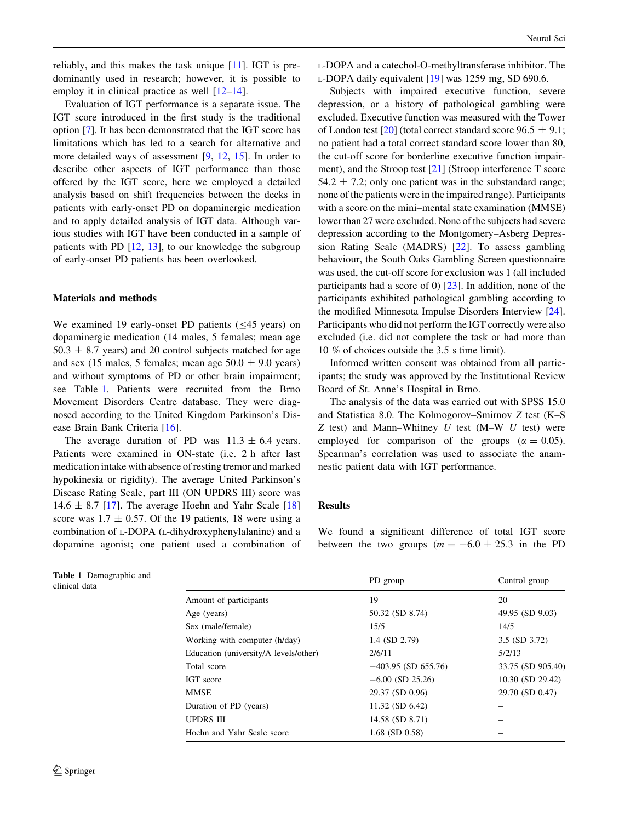<span id="page-1-0"></span>reliably, and this makes the task unique [\[11](#page-6-0)]. IGT is predominantly used in research; however, it is possible to employ it in clinical practice as well  $[12-14]$ .

Evaluation of IGT performance is a separate issue. The IGT score introduced in the first study is the traditional option [[7\]](#page-6-0). It has been demonstrated that the IGT score has limitations which has led to a search for alternative and more detailed ways of assessment [\[9](#page-6-0), [12](#page-6-0), [15](#page-6-0)]. In order to describe other aspects of IGT performance than those offered by the IGT score, here we employed a detailed analysis based on shift frequencies between the decks in patients with early-onset PD on dopaminergic medication and to apply detailed analysis of IGT data. Although various studies with IGT have been conducted in a sample of patients with PD [\[12](#page-6-0), [13\]](#page-6-0), to our knowledge the subgroup of early-onset PD patients has been overlooked.

#### Materials and methods

We examined 19 early-onset PD patients  $( $45$  years) on$ dopaminergic medication (14 males, 5 females; mean age  $50.3 \pm 8.7$  years) and 20 control subjects matched for age and sex (15 males, 5 females; mean age  $50.0 \pm 9.0$  years) and without symptoms of PD or other brain impairment; see Table 1. Patients were recruited from the Brno Movement Disorders Centre database. They were diagnosed according to the United Kingdom Parkinson's Disease Brain Bank Criteria [[16\]](#page-6-0).

The average duration of PD was  $11.3 \pm 6.4$  years. Patients were examined in ON-state (i.e. 2 h after last medication intake with absence of resting tremor and marked hypokinesia or rigidity). The average United Parkinson's Disease Rating Scale, part III (ON UPDRS III) score was 14.6  $\pm$  8.7 [\[17](#page-6-0)]. The average Hoehn and Yahr Scale [[18\]](#page-6-0) score was  $1.7 \pm 0.57$ . Of the 19 patients, 18 were using a combination of L-DOPA (L-dihydroxyphenylalanine) and a dopamine agonist; one patient used a combination of L-DOPA and a catechol-O-methyltransferase inhibitor. The L-DOPA daily equivalent [\[19](#page-6-0)] was 1259 mg, SD 690.6.

Subjects with impaired executive function, severe depression, or a history of pathological gambling were excluded. Executive function was measured with the Tower of London test [\[20](#page-6-0)] (total correct standard score  $96.5 \pm 9.1$ ; no patient had a total correct standard score lower than 80, the cut-off score for borderline executive function impairment), and the Stroop test [[21](#page-6-0)] (Stroop interference T score 54.2  $\pm$  7.2; only one patient was in the substandard range; none of the patients were in the impaired range). Participants with a score on the mini–mental state examination (MMSE) lower than 27 were excluded. None of the subjects had severe depression according to the Montgomery–Asberg Depression Rating Scale (MADRS) [[22\]](#page-6-0). To assess gambling behaviour, the South Oaks Gambling Screen questionnaire was used, the cut-off score for exclusion was 1 (all included participants had a score of 0)  $[23]$  $[23]$ . In addition, none of the participants exhibited pathological gambling according to the modified Minnesota Impulse Disorders Interview [\[24](#page-6-0)]. Participants who did not perform the IGT correctly were also excluded (i.e. did not complete the task or had more than 10 % of choices outside the 3.5 s time limit).

Informed written consent was obtained from all participants; the study was approved by the Institutional Review Board of St. Anne's Hospital in Brno.

The analysis of the data was carried out with SPSS 15.0 and Statistica 8.0. The Kolmogorov–Smirnov Z test (K–S  $Z$  test) and Mann–Whitney  $U$  test (M–W  $U$  test) were employed for comparison of the groups ( $\alpha = 0.05$ ). Spearman's correlation was used to associate the anamnestic patient data with IGT performance.

## Results

We found a significant difference of total IGT score between the two groups  $(m = -6.0 \pm 25.3 \text{ in the PD})$ 

| <b>Table I</b> Demographic and<br>clinical data |                                       | PD group              | Control group      |
|-------------------------------------------------|---------------------------------------|-----------------------|--------------------|
|                                                 | Amount of participants                | 19                    | 20                 |
|                                                 | Age (years)                           | 50.32 (SD 8.74)       | 49.95 (SD 9.03)    |
|                                                 | Sex (male/female)                     | 15/5                  | 14/5               |
|                                                 | Working with computer (h/day)         | $1.4$ (SD $2.79$ )    | $3.5$ (SD $3.72$ ) |
|                                                 | Education (university/A levels/other) | 2/6/11                | 5/2/13             |
|                                                 | Total score                           | $-403.95$ (SD 655.76) | 33.75 (SD 905.40)  |
|                                                 | IGT score                             | $-6.00$ (SD 25.26)    | 10.30 (SD 29.42)   |
|                                                 | MMSE                                  | 29.37 (SD 0.96)       | 29.70 (SD 0.47)    |
|                                                 | Duration of PD (years)                | $11.32$ (SD 6.42)     | —                  |
|                                                 | <b>UPDRS III</b>                      | 14.58 (SD 8.71)       | -                  |
|                                                 | Hoehn and Yahr Scale score            | $1.68$ (SD $0.58$ )   | -                  |
|                                                 |                                       |                       |                    |

Table 1 Demographic and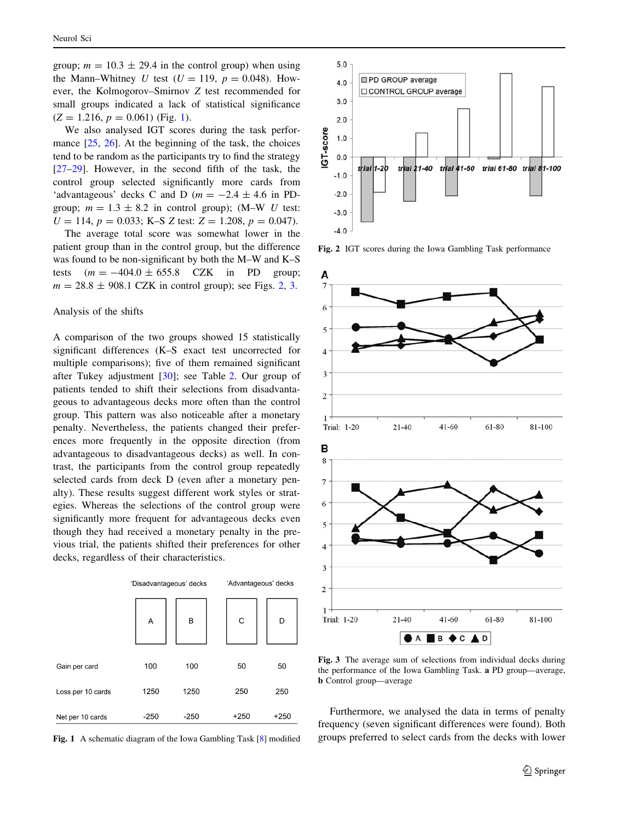<span id="page-2-0"></span>group;  $m = 10.3 \pm 29.4$  in the control group) when using the Mann–Whitney U test  $(U = 119, p = 0.048)$ . However, the Kolmogorov–Smirnov Z test recommended for small groups indicated a lack of statistical significance  $(Z = 1.216, p = 0.061)$  (Fig. 1).

We also analysed IGT scores during the task perfor-mance [\[25](#page-6-0), [26](#page-6-0)]. At the beginning of the task, the choices tend to be random as the participants try to find the strategy [\[27–29](#page-6-0)]. However, in the second fifth of the task, the control group selected significantly more cards from 'advantageous' decks C and D ( $m = -2.4 \pm 4.6$  in PDgroup;  $m = 1.3 \pm 8.2$  in control group); (M–W U test:  $U = 114$ ,  $p = 0.033$ ; K-S Z test:  $Z = 1.208$ ,  $p = 0.047$ ).

The average total score was somewhat lower in the patient group than in the control group, but the difference was found to be non-significant by both the M–W and K–S tests  $(m = -404.0 \pm 655.8$  CZK in PD group;  $m = 28.8 \pm 908.1$  CZK in control group); see Figs. 2, 3.

#### Analysis of the shifts

A comparison of the two groups showed 15 statistically significant differences (K–S exact test uncorrected for multiple comparisons); five of them remained significant after Tukey adjustment [\[30](#page-6-0)]; see Table [2.](#page-3-0) Our group of patients tended to shift their selections from disadvantageous to advantageous decks more often than the control group. This pattern was also noticeable after a monetary penalty. Nevertheless, the patients changed their preferences more frequently in the opposite direction (from advantageous to disadvantageous decks) as well. In contrast, the participants from the control group repeatedly selected cards from deck D (even after a monetary penalty). These results suggest different work styles or strategies. Whereas the selections of the control group were significantly more frequent for advantageous decks even though they had received a monetary penalty in the previous trial, the patients shifted their preferences for other decks, regardless of their characteristics.





Fig. 2 IGT scores during the Iowa Gambling Task performance



Fig. 3 The average sum of selections from individual decks during the performance of the Iowa Gambling Task. a PD group—average, b Control group—average

Furthermore, we analysed the data in terms of penalty frequency (seven significant differences were found). Both Fig. 1 A schematic diagram of the Iowa Gambling Task [[8](#page-6-0)] modified groups preferred to select cards from the decks with lower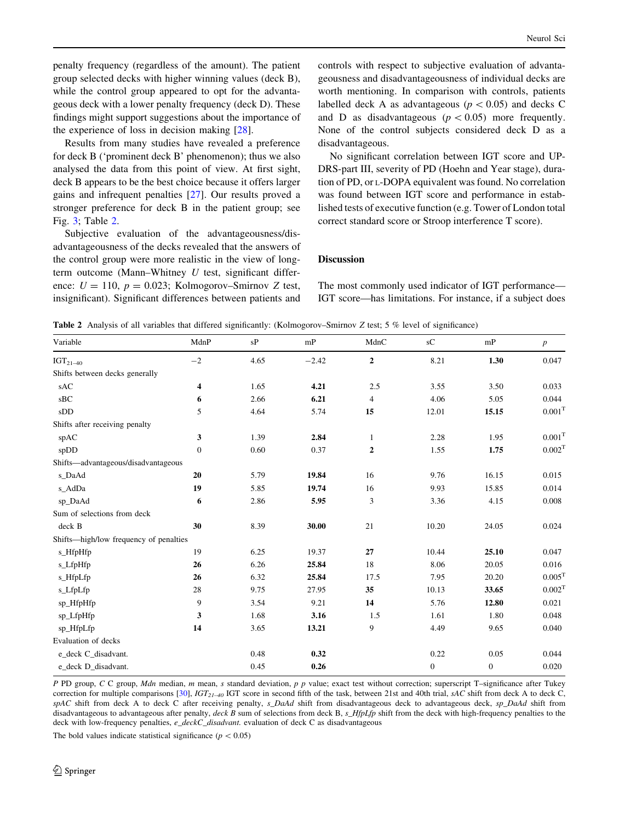<span id="page-3-0"></span>penalty frequency (regardless of the amount). The patient group selected decks with higher winning values (deck B), while the control group appeared to opt for the advantageous deck with a lower penalty frequency (deck D). These findings might support suggestions about the importance of the experience of loss in decision making [\[28](#page-6-0)].

Results from many studies have revealed a preference for deck B ('prominent deck B' phenomenon); thus we also analysed the data from this point of view. At first sight, deck B appears to be the best choice because it offers larger gains and infrequent penalties [\[27](#page-6-0)]. Our results proved a stronger preference for deck B in the patient group; see Fig. [3](#page-2-0); Table 2.

Subjective evaluation of the advantageousness/disadvantageousness of the decks revealed that the answers of the control group were more realistic in the view of longterm outcome (Mann–Whitney  $U$  test, significant difference:  $U = 110$ ,  $p = 0.023$ ; Kolmogorov–Smirnov Z test, insignificant). Significant differences between patients and controls with respect to subjective evaluation of advantageousness and disadvantageousness of individual decks are worth mentioning. In comparison with controls, patients labelled deck A as advantageous ( $p<0.05$ ) and decks C and D as disadvantageous ( $p \lt 0.05$ ) more frequently. None of the control subjects considered deck D as a disadvantageous.

No significant correlation between IGT score and UP-DRS-part III, severity of PD (Hoehn and Year stage), duration of PD, or L-DOPA equivalent was found. No correlation was found between IGT score and performance in established tests of executive function (e.g. Tower of London total correct standard score or Stroop interference T score).

## Discussion

The most commonly used indicator of IGT performance— IGT score—has limitations. For instance, if a subject does

Table 2 Analysis of all variables that differed significantly: (Kolmogorov–Smirnov Z test; 5 % level of significance)

| Variable                               | MdnP           | sP   | mP      | MdnC             | sC               | mP           | $\boldsymbol{p}$     |
|----------------------------------------|----------------|------|---------|------------------|------------------|--------------|----------------------|
| $IGT_{21-40}$                          | $-2$           | 4.65 | $-2.42$ | $\mathbf 2$      | 8.21             | 1.30         | 0.047                |
| Shifts between decks generally         |                |      |         |                  |                  |              |                      |
| sAC                                    | $\overline{4}$ | 1.65 | 4.21    | 2.5              | 3.55             | 3.50         | 0.033                |
| sBC                                    | 6              | 2.66 | 6.21    | $\overline{4}$   | 4.06             | 5.05         | 0.044                |
| sDD                                    | 5              | 4.64 | 5.74    | 15               | 12.01            | 15.15        | $0.001^\mathrm{T}$   |
| Shifts after receiving penalty         |                |      |         |                  |                  |              |                      |
| spAC                                   | 3              | 1.39 | 2.84    | $\mathbf{1}$     | 2.28             | 1.95         | $0.001$ <sup>T</sup> |
| spDD                                   | $\theta$       | 0.60 | 0.37    | $\boldsymbol{2}$ | 1.55             | 1.75         | $0.002$ <sup>T</sup> |
| Shifts-advantageous/disadvantageous    |                |      |         |                  |                  |              |                      |
| s_DaAd                                 | 20             | 5.79 | 19.84   | 16               | 9.76             | 16.15        | 0.015                |
| s AdDa                                 | 19             | 5.85 | 19.74   | 16               | 9.93             | 15.85        | 0.014                |
| sp_DaAd                                | 6              | 2.86 | 5.95    | 3                | 3.36             | 4.15         | 0.008                |
| Sum of selections from deck            |                |      |         |                  |                  |              |                      |
| deck B                                 | 30             | 8.39 | 30.00   | 21               | 10.20            | 24.05        | 0.024                |
| Shifts—high/low frequency of penalties |                |      |         |                  |                  |              |                      |
| s_HfpHfp                               | 19             | 6.25 | 19.37   | 27               | 10.44            | 25.10        | 0.047                |
| s_LfpHfp                               | 26             | 6.26 | 25.84   | 18               | 8.06             | 20.05        | 0.016                |
| s_HfpLfp                               | 26             | 6.32 | 25.84   | 17.5             | 7.95             | 20.20        | $0.005^{\rm T}$      |
| s_LfpLfp                               | 28             | 9.75 | 27.95   | 35               | 10.13            | 33.65        | $0.002^\mathrm{T}$   |
| sp_HfpHfp                              | 9              | 3.54 | 9.21    | 14               | 5.76             | 12.80        | 0.021                |
| sp_LfpHfp                              | 3              | 1.68 | 3.16    | 1.5              | 1.61             | 1.80         | 0.048                |
| sp_HfpLfp                              | 14             | 3.65 | 13.21   | 9                | 4.49             | 9.65         | 0.040                |
| Evaluation of decks                    |                |      |         |                  |                  |              |                      |
| e_deck C_disadvant.                    |                | 0.48 | 0.32    |                  | 0.22             | 0.05         | 0.044                |
| e_deck D_disadvant.                    |                | 0.45 | 0.26    |                  | $\boldsymbol{0}$ | $\mathbf{0}$ | 0.020                |

P PD group, C C group, Mdn median, m mean, s standard deviation, p p value; exact test without correction; superscript T–significance after Tukey correction for multiple comparisons [\[30](#page-6-0)],  $IGT_{21-40}$  IGT score in second fifth of the task, between 21st and 40th trial, sAC shift from deck A to deck C, spAC shift from deck A to deck C after receiving penalty, s\_DaAd shift from disadvantageous deck to advantageous deck, sp\_DaAd shift from disadvantageous to advantageous after penalty, deck B sum of selections from deck B, s\_HfpLfp shift from the deck with high-frequency penalties to the deck with low-frequency penalties, e\_deckC\_disadvant. evaluation of deck C as disadvantageous

The bold values indicate statistical significance ( $p < 0.05$ )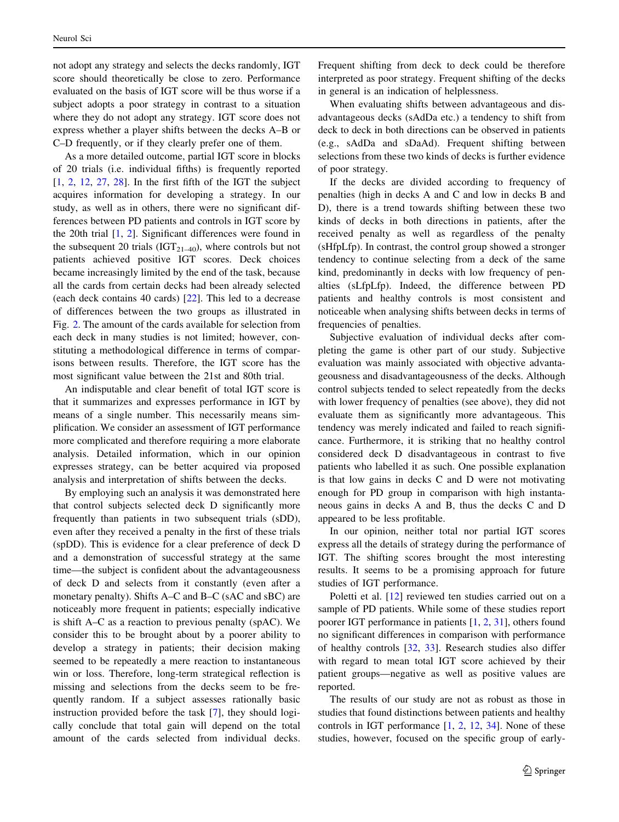not adopt any strategy and selects the decks randomly, IGT score should theoretically be close to zero. Performance evaluated on the basis of IGT score will be thus worse if a subject adopts a poor strategy in contrast to a situation where they do not adopt any strategy. IGT score does not express whether a player shifts between the decks A–B or C–D frequently, or if they clearly prefer one of them.

As a more detailed outcome, partial IGT score in blocks of 20 trials (i.e. individual fifths) is frequently reported [\[1](#page-5-0), [2,](#page-5-0) [12,](#page-6-0) [27,](#page-6-0) [28](#page-6-0)]. In the first fifth of the IGT the subject acquires information for developing a strategy. In our study, as well as in others, there were no significant differences between PD patients and controls in IGT score by the 20th trial [\[1](#page-5-0), [2](#page-5-0)]. Significant differences were found in the subsequent 20 trials (IGT<sub>21–40</sub>), where controls but not patients achieved positive IGT scores. Deck choices became increasingly limited by the end of the task, because all the cards from certain decks had been already selected (each deck contains 40 cards) [[22\]](#page-6-0). This led to a decrease of differences between the two groups as illustrated in Fig. [2](#page-2-0). The amount of the cards available for selection from each deck in many studies is not limited; however, constituting a methodological difference in terms of comparisons between results. Therefore, the IGT score has the most significant value between the 21st and 80th trial.

An indisputable and clear benefit of total IGT score is that it summarizes and expresses performance in IGT by means of a single number. This necessarily means simplification. We consider an assessment of IGT performance more complicated and therefore requiring a more elaborate analysis. Detailed information, which in our opinion expresses strategy, can be better acquired via proposed analysis and interpretation of shifts between the decks.

By employing such an analysis it was demonstrated here that control subjects selected deck D significantly more frequently than patients in two subsequent trials (sDD), even after they received a penalty in the first of these trials (spDD). This is evidence for a clear preference of deck D and a demonstration of successful strategy at the same time—the subject is confident about the advantageousness of deck D and selects from it constantly (even after a monetary penalty). Shifts A–C and B–C (sAC and sBC) are noticeably more frequent in patients; especially indicative is shift A–C as a reaction to previous penalty (spAC). We consider this to be brought about by a poorer ability to develop a strategy in patients; their decision making seemed to be repeatedly a mere reaction to instantaneous win or loss. Therefore, long-term strategical reflection is missing and selections from the decks seem to be frequently random. If a subject assesses rationally basic instruction provided before the task [[7\]](#page-6-0), they should logically conclude that total gain will depend on the total amount of the cards selected from individual decks.

Frequent shifting from deck to deck could be therefore interpreted as poor strategy. Frequent shifting of the decks in general is an indication of helplessness.

When evaluating shifts between advantageous and disadvantageous decks (sAdDa etc.) a tendency to shift from deck to deck in both directions can be observed in patients (e.g., sAdDa and sDaAd). Frequent shifting between selections from these two kinds of decks is further evidence of poor strategy.

If the decks are divided according to frequency of penalties (high in decks A and C and low in decks B and D), there is a trend towards shifting between these two kinds of decks in both directions in patients, after the received penalty as well as regardless of the penalty (sHfpLfp). In contrast, the control group showed a stronger tendency to continue selecting from a deck of the same kind, predominantly in decks with low frequency of penalties (sLfpLfp). Indeed, the difference between PD patients and healthy controls is most consistent and noticeable when analysing shifts between decks in terms of frequencies of penalties.

Subjective evaluation of individual decks after completing the game is other part of our study. Subjective evaluation was mainly associated with objective advantageousness and disadvantageousness of the decks. Although control subjects tended to select repeatedly from the decks with lower frequency of penalties (see above), they did not evaluate them as significantly more advantageous. This tendency was merely indicated and failed to reach significance. Furthermore, it is striking that no healthy control considered deck D disadvantageous in contrast to five patients who labelled it as such. One possible explanation is that low gains in decks C and D were not motivating enough for PD group in comparison with high instantaneous gains in decks A and B, thus the decks C and D appeared to be less profitable.

In our opinion, neither total nor partial IGT scores express all the details of strategy during the performance of IGT. The shifting scores brought the most interesting results. It seems to be a promising approach for future studies of IGT performance.

Poletti et al. [[12\]](#page-6-0) reviewed ten studies carried out on a sample of PD patients. While some of these studies report poorer IGT performance in patients [\[1](#page-5-0), [2](#page-5-0), [31](#page-6-0)], others found no significant differences in comparison with performance of healthy controls [\[32](#page-6-0), [33\]](#page-6-0). Research studies also differ with regard to mean total IGT score achieved by their patient groups—negative as well as positive values are reported.

The results of our study are not as robust as those in studies that found distinctions between patients and healthy controls in IGT performance [\[1](#page-5-0), [2](#page-5-0), [12,](#page-6-0) [34\]](#page-6-0). None of these studies, however, focused on the specific group of early-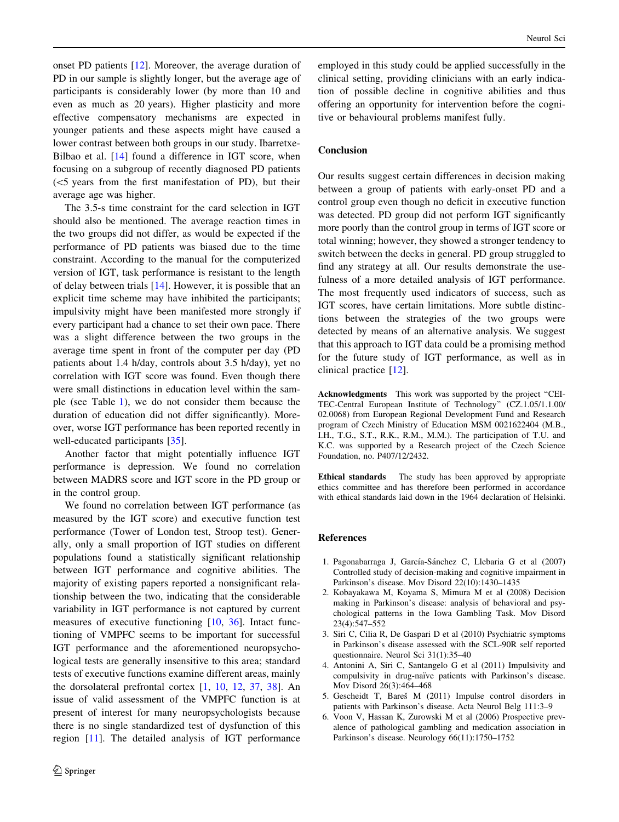<span id="page-5-0"></span>onset PD patients [\[12](#page-6-0)]. Moreover, the average duration of PD in our sample is slightly longer, but the average age of participants is considerably lower (by more than 10 and even as much as 20 years). Higher plasticity and more effective compensatory mechanisms are expected in younger patients and these aspects might have caused a lower contrast between both groups in our study. Ibarretxe-Bilbao et al. [\[14](#page-6-0)] found a difference in IGT score, when focusing on a subgroup of recently diagnosed PD patients  $(<5$  years from the first manifestation of PD), but their average age was higher.

The 3.5-s time constraint for the card selection in IGT should also be mentioned. The average reaction times in the two groups did not differ, as would be expected if the performance of PD patients was biased due to the time constraint. According to the manual for the computerized version of IGT, task performance is resistant to the length of delay between trials [[14\]](#page-6-0). However, it is possible that an explicit time scheme may have inhibited the participants; impulsivity might have been manifested more strongly if every participant had a chance to set their own pace. There was a slight difference between the two groups in the average time spent in front of the computer per day (PD patients about 1.4 h/day, controls about 3.5 h/day), yet no correlation with IGT score was found. Even though there were small distinctions in education level within the sample (see Table [1\)](#page-1-0), we do not consider them because the duration of education did not differ significantly). Moreover, worse IGT performance has been reported recently in well-educated participants [\[35\]](#page-6-0).

Another factor that might potentially influence IGT performance is depression. We found no correlation between MADRS score and IGT score in the PD group or in the control group.

We found no correlation between IGT performance (as measured by the IGT score) and executive function test performance (Tower of London test, Stroop test). Generally, only a small proportion of IGT studies on different populations found a statistically significant relationship between IGT performance and cognitive abilities. The majority of existing papers reported a nonsignificant relationship between the two, indicating that the considerable variability in IGT performance is not captured by current measures of executive functioning [[10,](#page-6-0) [36](#page-6-0)]. Intact functioning of VMPFC seems to be important for successful IGT performance and the aforementioned neuropsychological tests are generally insensitive to this area; standard tests of executive functions examine different areas, mainly the dorsolateral prefrontal cortex  $[1, 10, 12, 37, 38]$  $[1, 10, 12, 37, 38]$  $[1, 10, 12, 37, 38]$  $[1, 10, 12, 37, 38]$  $[1, 10, 12, 37, 38]$  $[1, 10, 12, 37, 38]$  $[1, 10, 12, 37, 38]$  $[1, 10, 12, 37, 38]$ . An issue of valid assessment of the VMPFC function is at present of interest for many neuropsychologists because there is no single standardized test of dysfunction of this region [\[11](#page-6-0)]. The detailed analysis of IGT performance employed in this study could be applied successfully in the clinical setting, providing clinicians with an early indication of possible decline in cognitive abilities and thus offering an opportunity for intervention before the cognitive or behavioural problems manifest fully.

## Conclusion

Our results suggest certain differences in decision making between a group of patients with early-onset PD and a control group even though no deficit in executive function was detected. PD group did not perform IGT significantly more poorly than the control group in terms of IGT score or total winning; however, they showed a stronger tendency to switch between the decks in general. PD group struggled to find any strategy at all. Our results demonstrate the usefulness of a more detailed analysis of IGT performance. The most frequently used indicators of success, such as IGT scores, have certain limitations. More subtle distinctions between the strategies of the two groups were detected by means of an alternative analysis. We suggest that this approach to IGT data could be a promising method for the future study of IGT performance, as well as in clinical practice [[12\]](#page-6-0).

Acknowledgments This work was supported by the project "CEI-TEC-Central European Institute of Technology'' (CZ.1.05/1.1.00/ 02.0068) from European Regional Development Fund and Research program of Czech Ministry of Education MSM 0021622404 (M.B., I.H., T.G., S.T., R.K., R.M., M.M.). The participation of T.U. and K.C. was supported by a Research project of the Czech Science Foundation, no. P407/12/2432.

Ethical standards The study has been approved by appropriate ethics committee and has therefore been performed in accordance with ethical standards laid down in the 1964 declaration of Helsinki.

## References

- 1. Pagonabarraga J, García-Sánchez C, Llebaria G et al (2007) Controlled study of decision-making and cognitive impairment in Parkinson's disease. Mov Disord 22(10):1430–1435
- 2. Kobayakawa M, Koyama S, Mimura M et al (2008) Decision making in Parkinson's disease: analysis of behavioral and psychological patterns in the Iowa Gambling Task. Mov Disord 23(4):547–552
- 3. Siri C, Cilia R, De Gaspari D et al (2010) Psychiatric symptoms in Parkinson's disease assessed with the SCL-90R self reported questionnaire. Neurol Sci 31(1):35–40
- 4. Antonini A, Siri C, Santangelo G et al (2011) Impulsivity and compulsivity in drug-naïve patients with Parkinson's disease. Mov Disord 26(3):464–468
- 5. Gescheidt T, Bareš M (2011) Impulse control disorders in patients with Parkinson's disease. Acta Neurol Belg 111:3–9
- 6. Voon V, Hassan K, Zurowski M et al (2006) Prospective prevalence of pathological gambling and medication association in Parkinson's disease. Neurology 66(11):1750–1752